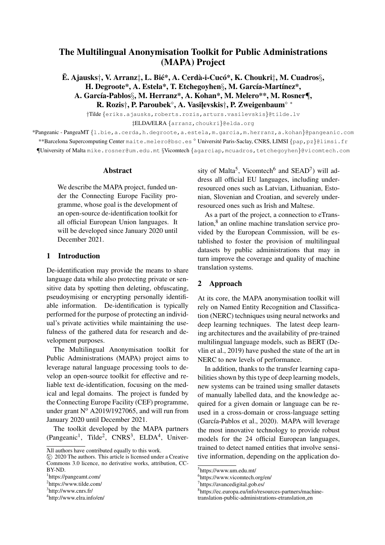# The Multilingual Anonymisation Toolkit for Public Administrations (MAPA) Project

 $\mathbf{\bar{E}}$ . Ajausks†, V. Arranz $\ddagger$ , L. Bié\*, A. Cerdà-i-Cucó\*, K. Choukri $\ddagger$ , M. Cuadros $\S$ , H. Degroote\*, A. Estela\*, T. Etchegoyhen $\S$ , M. García-Martínez\*, A. García-Pablos§, M. Herranz\*, A. Kohan\*, M. Melero\*\*, M. Rosner¶, R. Rozis†, P. Paroubek<sup>o</sup>, A. Vasiļevskis†, P. Zweigenbaum<sup>o</sup>\*

†Tilde {eriks.ajausks,roberts.rozis,arturs.vasilevskis}@tilde.lv ‡ELDA/ELRA {arranz,choukri}@elda.org

\*Pangeanic - PangeaMT {l.bie,a.cerda,h.degroote,a.estela,m.garcia,m.herranz,a.kohan}@pangeanic.com \*\*Barcelona Supercomputing Center maite.melero@bsc.es 
<sup>o</sup> Université Paris-Saclay, CNRS, LIMSI {pap,pz}@limsi.fr ¶University of Malta mike.rosner@um.edu.mt §Vicomtech {agarciap,mcuadros,tetchegoyhen}@vicomtech.com

#### Abstract

We describe the MAPA project, funded under the Connecting Europe Facility programme, whose goal is the development of an open-source de-identification toolkit for all official European Union languages. It will be developed since January 2020 until December 2021.

#### 1 Introduction

De-identification may provide the means to share language data while also protecting private or sensitive data by spotting then deleting, obfuscating, pseudoymising or encrypting personally identifiable information. De-identification is typically performed for the purpose of protecting an individual's private activities while maintaining the usefulness of the gathered data for research and development purposes.

The Multilingual Anonymisation toolkit for Public Administrations (MAPA) project aims to leverage natural language processing tools to develop an open-source toolkit for effective and reliable text de-identification, focusing on the medical and legal domains. The project is funded by the Connecting Europe Facility (CEF) programme, under grant  $N^{\circ}$  A2019/1927065, and will run from January 2020 until December 2021.

The toolkit developed by the MAPA partners (Pangeanic<sup>1</sup>, Tilde<sup>2</sup>, CNRS<sup>3</sup>, ELDA<sup>4</sup>, Univer-

<sup>∗</sup> c 2020 The authors. This article is licensed under a Creative Commons 3.0 licence, no derivative works, attribution, CC-BY-ND.

sity of Malta<sup>5</sup>, Vicomtech<sup>6</sup> and SEAD<sup>7</sup>) will address all official EU languages, including underresourced ones such as Latvian, Lithuanian, Estonian, Slovenian and Croatian, and severely underresourced ones such as Irish and Maltese.

As a part of the project, a connection to eTranslation,<sup>8</sup> an online machine translation service provided by the European Commission, will be established to foster the provision of multilingual datasets by public administrations that may in turn improve the coverage and quality of machine translation systems.

#### 2 Approach

At its core, the MAPA anonymisation toolkit will rely on Named Entity Recognition and Classification (NERC) techniques using neural networks and deep learning techniques. The latest deep learning architectures and the availability of pre-trained multilingual language models, such as BERT (Devlin et al., 2019) have pushed the state of the art in NERC to new levels of performance.

In addition, thanks to the transfer learning capabilities shown by this type of deep learning models, new systems can be trained using smaller datasets of manually labelled data, and the knowledge acquired for a given domain or language can be reused in a cross-domain or cross-language setting (García-Pablos et al., 2020). MAPA will leverage the most innovative technology to provide robust models for the 24 official European languages, trained to detect named entities that involve sensitive information, depending on the application do-

All authors have contributed equally to this work.

<sup>1</sup> https://pangeamt.com/

<sup>2</sup> https://www.tilde.com/

<sup>3</sup> http://www.cnrs.fr/

<sup>4</sup> http://www.elra.info/en/

<sup>5</sup> https://www.um.edu.mt/

<sup>6</sup> https://www.vicomtech.org/en/

<sup>7</sup> https://avancedigital.gob.es/

<sup>8</sup> https://ec.europa.eu/info/resources-partners/machine-

translation-public-administrations-etranslation en